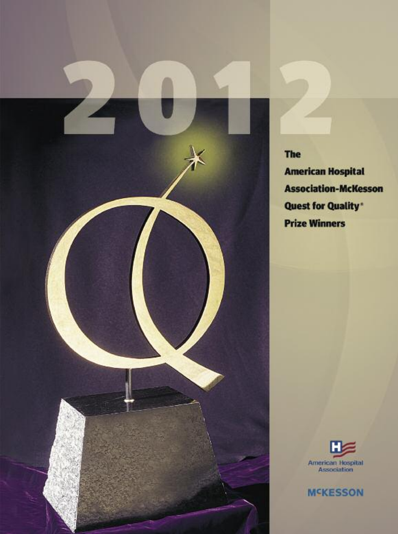

## **The**

**American Hospital Association-McKesson Quest for Quality\* Prize Winners** 



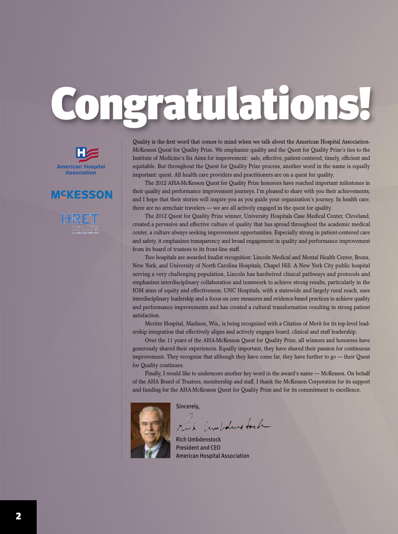# **Congratulations!**



### **MCKESSON**



Quality is the first word that comes to mind when we talk about the American Hospital Association-McKesson Quest for Quality Prize. We emphasize quality and the Quest for Quality Prize's ties to the Institute of Medicine's Six Aims for improvement: safe, effective, patient-centered, timely, efficient and equitable. But throughout the Quest for Quality Prize process, another word in the name is equally important: quest. All health care providers and practitioners are on a quest for quality.

The 2012 AHA-McKesson Quest for Quality Prize honorees have reached important milestones in their quality and performance improvement journeys. I'm pleased to share with you their achievements, and I hope that their stories will inspire you as you guide your organization's journey. In health care, there are no armchair travelers — we are all actively engaged in the quest for quality.

The 2012 Quest for Quality Prize winner, University Hospitals Case Medical Center, Cleveland, created a pervasive and effective culture of quality that has spread throughout the academic medical center, a culture always seeking improvement opportunities. Especially strong in patient-centered care and safety, it emphasizes transparency and broad engagement in quality and performance improvement from its board of trustees to its front-line staff.

Two hospitals are awarded finalist recognition: Lincoln Medical and Mental Health Center, Bronx, New York, and University of North Carolina Hospitals, Chapel Hill. A New York City public hospital serving a very challenging population, Lincoln has hardwired clinical pathways and protocols and emphasizes interdisciplinary collaboration and teamwork to achieve strong results, particularly in the IOM aims of equity and effectiveness. UNC Hospitals, with a statewide and largely rural reach, uses interdisciplinary leadership and a focus on core measures and evidence-based practices to achieve quality and performance improvements and has created a cultural transformation resulting in strong patient satisfaction.

Meriter Hospital, Madison, Wis., is being recognized with a Citation of Merit for its top-level leadership integration that effectively aligns and actively engages board, clinical and staff leadership.

Over the 11 years of the AHA-McKesson Quest for Quality Prize, all winners and honorees have generously shared their experiences. Equally important, they have shared their passion for continuous improvement. They recognize that although they have come far, they have further to go — their Quest for Quality continues.

Finally, I would like to underscore another key word in the award's name — McKesson. On behalf of the AHA Board of Trustees, membership and staff, I thank the McKesson Corporation for its support and funding for the AHA-McKesson Quest for Quality Prize and for its commitment to excellence.



Sincerely,

with Comboding tack

Rich Umbdenstock President and CEO American Hospital Association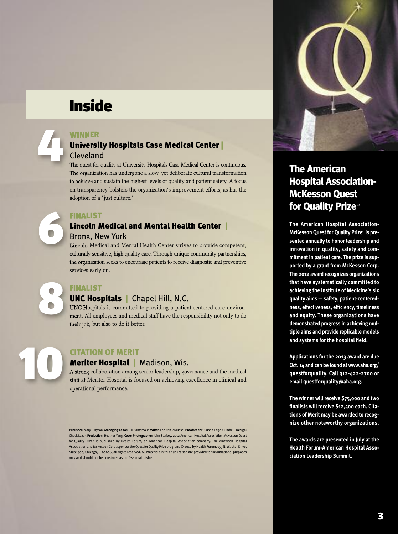# **Inside**

#### **Winner**

#### **University Hospitals Case Medical Center |** Cleveland

The quest for quality at University Hospitals Case Medical Center is continuous. The organization has undergone a slow, yet deliberate cultural transformation to achieve and sustain the highest levels of quality and patient safety. A focus on transparency bolsters the organization's improvement efforts, as has the adoption of a "just culture."

# **6**

**8**

**10**

**4**

#### **finalist**

#### **lincoln Medical and Mental Health Center |** Bronx, New York

Lincoln Medical and Mental Health Center strives to provide competent, culturally sensitive, high quality care. Through unique community partnerships, the organization seeks to encourage patients to receive diagnostic and preventive services early on.

#### **finalist**

#### **UnC Hospitals |** Chapel Hill, N.C.

UNC Hospitals is committed to providing a patient-centered care environment. All employees and medical staff have the responsibility not only to do their job, but also to do it better.

#### **Citation of Merit**

#### **Meriter Hospital |** Madison, Wis.

A strong collaboration among senior leadership, governance and the medical staff at Meriter Hospital is focused on achieving excellence in clinical and operational performance.

**Publisher:** MaryGrayson, **Managing Editor:** BillSantamour, **Writer:** Lee Ann Jarousse, **Proofreader:** Susan Edge-Gumbel, **Design:** Chuck Lazar, **Production:** Heather Yang, **Cover Photographer:** John Starkey. 2012 American Hospital Association-McKesson Quest for Quality Prize® is published by Health Forum, an American Hospital Association company. The American Hospital Association and McKesson Corp. sponsor the Quest for Quality Prize program. © 2012 by Health Forum, 155 N. Wacker Drive, Suite 400, Chicago, IL 60606, all rights reserved. All materials in this publication are provided for informational purposes only and should not be construed as professional advice.



### **The American Hospital Association-McKesson Quest for Quality Prize**©

**The American Hospital Association-McKesson Quest for Quality Prize**© **is presented annually to honor leadership and innovation in quality, safety and commitment in patient care. The prize is supported by a grant from McKesson Corp. The 2012 award recognizes organizations that have systematically committed to achieving the Institute of Medicine's six quality aims — safety, patient-centeredness, effectiveness, efficiency, timeliness and equity. These organizations have demonstrated progress in achieving multiple aims and provide replicable models and systems for the hospital field.**

**Applications for the 2013 award are due Oct. 14 and can be found at www.aha.org/ questforquality. Call 312-422-2700 or email questforquality@aha.org.**

**The winner will receive \$75,000 and two finalists will receive \$12,500 each. Citations of Merit may be awarded to recognize other noteworthy organizations.**

**The awards are presented in July at the Health Forum-American Hospital Association Leadership Summit.**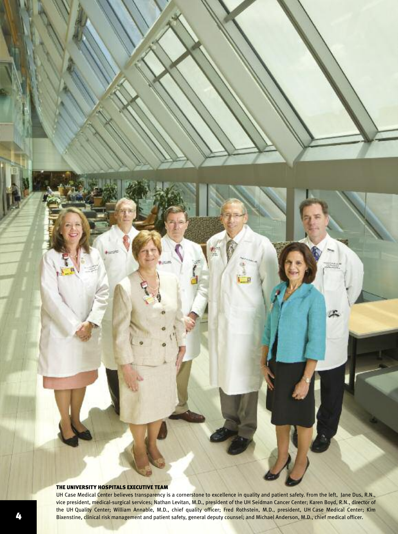#### **tHe University Hospitals exeCUtive teaM**

UH Case Medical Center believes transparency is a cornerstone to excellence in quality and patient safety. From the left, Jane Dus, R.N., vice president, medical-surgical services; Nathan Levitan, M.D., president of the UH Seidman Cancer Center; Karen Boyd, R.N., director of the UH Quality Center; William Annable, M.D., chief quality officer; Fred Rothstein, M.D., president, UH Case Medical Center; Kim **44 Bixenstine, clinical risk management** and patient safety, general deputy counsel; and Michael Anderson, M.D., chief medical officer.

工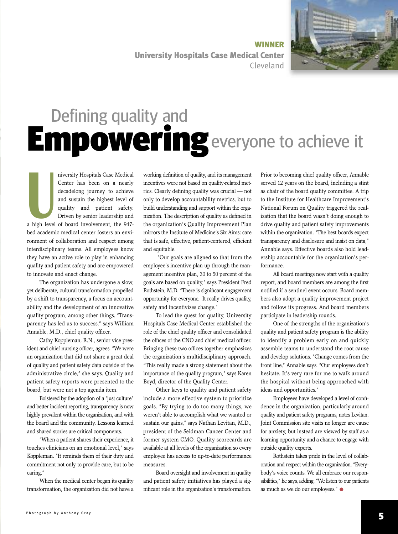Ph o t o g r a p h b y Anthony Gray

quality and patient safety and are empowered to innovate and enact change. The organization has undergone a slow, yet deliberate, cultural transformation propelled by a shift to transparency, a focus on accountability and the development of an innovative quality program, among other things. "Transparency has led us to success," says William Annable, M.D., chief quality officer. Cathy Koppleman, R.N., senior vice president and chief nursing officer, agrees. "We were

Iniversity Hospitals Case Medical<br>
Center has been on a nearly<br>
decadelong journey to achieve<br>
and sustain the highest level of<br>
quality and patient safety.<br>
Driven by senior leadership and<br>
a high level of board involveme

a high level of board involvement, the 947 bed academic medical center fosters an environment of collaboration and respect among interdisciplinary teams. All employees know they have an active role to play in enhancing

Center has been on a nearly decadelong journey to achieve and sustain the highest level of quality and patient safety. Driven by senior leadership and

an organization that did not share a great deal of quality and patient safety data outside of the administrative circle," she says. Quality and patient safety reports were presented to the board, but were not a top agenda item.

Bolstered by the adoption of a "just culture" and better incident reporting, transparency is now highly prevalent within the organization, and with the board and the community. Lessons learned and shared stories are critical components.

"When a patient shares their experience, it touches clinicians on an emotional level," says Koppleman. "It reminds them of their duty and commitment not only to provide care, but to be caring."

When the medical center began its quality transformation, the organization did not have a

working definition of quality, and its management incentives were not based on quality-related metrics. Clearly defining quality was crucial — not only to develop accountability metrics, but to build understanding and support within the organization. The description of quality as defined in the organization's Quality Improvement Plan mirrors the Institute of Medicine's Six Aims: care that is safe, effective, patient-centered, efficient and equitable.

"Our goals are aligned so that from the employee's incentive plan up through the management incentive plan, 30 to 50 percent of the goals are based on quality," says President Fred Rothstein, M.D. "There is significant engagement opportunity for everyone. It really drives quality, safety and incentivizes change."

To lead the quest for quality, University Hospitals Case Medical Center established the role of the chief quality officer and consolidated the offices of the CNO and chief medical officer. Bringing these two offices together emphasizes the organization's multidisciplinary approach. "This really made a strong statement about the importance of the quality program," says Karen Boyd, director of the Quality Center.

Other keys to quality and patient safety include a more effective system to prioritize goals. "By trying to do too many things, we weren't able to accomplish what we wanted or sustain our gains," says Nathan Levitan, M.D., president of the Seidman Cancer Center and former system CMO. Quality scorecards are available at all levels of the organization so every employee has access to up-to-date performance measures.

Board oversight and involvement in quality and patient safety initiatives has played a significant role in the organization's transformation.

Prior to becoming chief quality officer, Annable served 12 years on the board, including a stint as chair of the board quality committee. A trip to the Institute for Healthcare Improvement's National Forum on Quality triggered the realization that the board wasn't doing enough to drive quality and patient safety improvements within the organization. "The best boards expect transparency and disclosure and insist on data," Annable says. Effective boards also hold leadership accountable for the organization's performance.

All board meetings now start with a quality report, and board members are among the first notified if a sentinel event occurs. Board members also adopt a quality improvement project and follow its progress. And board members participate in leadership rounds.

One of the strengths of the organization's quality and patient safety program is the ability to identify a problem early on and quickly assemble teams to understand the root cause and develop solutions. "Change comes from the front line," Annable says. "Our employees don't hesitate. It's very rare for me to walk around the hospital without being approached with ideas and opportunities."

Employees have developed a level of confidence in the organization, particularly around quality and patient safety programs, notes Levitan. Joint Commission site visits no longer are cause for anxiety, but instead are viewed by staff as a learning opportunity and a chance to engage with outside quality experts.

Rothstein takes pride in the level of collaboration and respect within the organization. "Everybody's voice counts. We all embrace our responsibilities," he says, adding, "We listen to our patients as much as we do our employees."**•**

**Empowering** Defining quality and everyone to achieve it

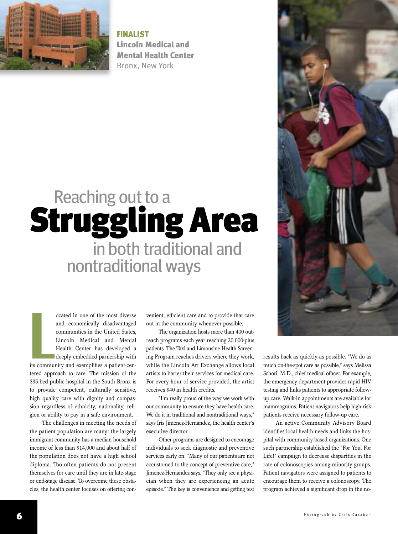

**finalist lincoln Medical and Mental Health Center** Bronx, New York

# **Struggling Area** Reaching out to a in both traditional and nontraditional ways

and economically disadvantaged<br>
communities in the United States,<br>
Lincoln Medical and Mental<br>
Health Center has developed a<br>
deeply embedded parnership with<br>
its community and exemplifies a patient-cenocated in one of the most diverse and economically disadvantaged communities in the United States, Lincoln Medical and Mental Health Center has developed a deeply embedded parnership with

tered approach to care. The mission of the 335-bed public hospital in the South Bronx is to provide competent, culturally sensitive, high quality care with dignity and compassion regardless of ethnicity, nationality, religion or ability to pay in a safe environment.

The challenges in meeting the needs of the patient population are many: the largely immigrant community has a median household income of less than \$14,000 and about half of the population does not have a high school diploma. Too often patients do not present themselves for care until they are in late-stage or end-stage disease. To overcome these obstacles, the health center focuses on offering convenient, efficient care and to provide that care out in the community whenever possible.

The organization hosts more than 400 outreach programs each year reaching 20,000-plus patients. The Taxi and Limousine Health Screening Program reaches drivers where they work, while the Lincoln Art Exchange allows local artists to barter their services for medical care. For every hour of service provided, the artist receives \$40 in health credits.

"I'm really proud of the way we work with our community to ensure they have health care. We do it in traditional and nontraditional ways," says Iris Jimenez-Hernandez, the health center's executive director.

Other programs are designed to encourage individuals to seek diagnostic and preventive services early on. "Many of our patients are not accustomed to the concept of preventive care," Jimenez-Hernandez says. "They only see a physician when they are experiencing an acute episode." The key is convenience and getting test



An active Community Advisory Board identifies local health needs and links the hospital with community-based organizations. One such partnership established the "For You, For Life!" campaign to decrease disparities in the rate of colonoscopies among minority groups. Patient navigators were assigned to patients to encourage them to receive a colonoscopy. The program achieved a significant drop in the no-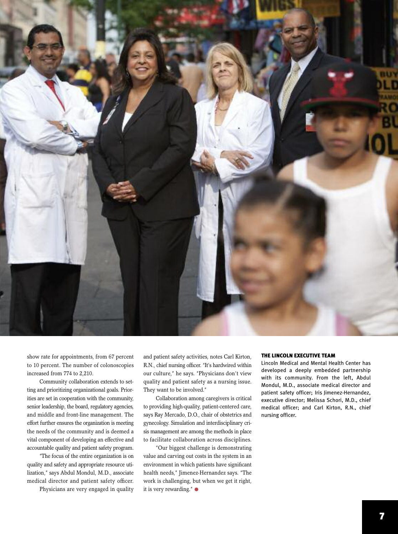

show rate for appointments, from 67 percent to 10 percent. The number of colonoscopies increased from 774 to 2,210.

Community collaboration extends to setting and prioritizing organizational goals. Priorities are set in cooperation with the community, senior leadership, the board, regulatory agencies, and middle and front-line management. The effort further ensures the organization is meeting the needs of the community and is deemed a vital component of developing an effective and accountable quality and patient safety program.

"The focus of the entire organization is on quality and safety and appropriate resource utilization," says Abdul Mondul, M.D., associate medical director and patient safety officer.

Physicians are very engaged in quality

and patient safety activities, notes Carl Kirton, R.N., chief nursing officer. "It's hardwired within our culture," he says. "Physicians don't view quality and patient safety as a nursing issue. They want to be involved."

Collaboration among caregivers is critical to providing high-quality, patient-centered care, says Ray Mercado, D.O., chair of obstetrics and gynecology. Simulation and interdisciplinary crisis management are among the methods in place to facilitate collaboration across disciplines.

"Our biggest challenge is demonstrating value and carving out costs in the system in an environment in which patients have significant health needs," Jimenez-Hernandez says. "The work is challenging, but when we get it right, it is very rewarding." **•**

#### **tHe linColn exeCUtive teaM**

Lincoln Medical and Mental Health Center has developed a deeply embedded partnership with its community. From the left, Abdul Mondul, M.D., associate medical director and patient safety officer; Iris Jimenez-Hernandez, executive director; Melissa Schori, M.D., chief medical officer; and Carl Kirton, R.N., chief nursing officer.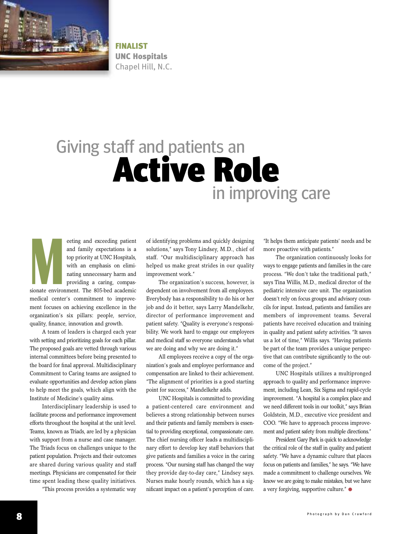

**finalist UnC Hospitals** Chapel Hill, N.C.

# **Active Role** Giving staff and patients an in improving care

eeting and exceeding patient<br>and family expectations is a<br>top priority at UNC Hospitals,<br>with an emphasis on elimi-<br>nating unnecessary harm and<br>providing a caring, compas-<br>sionate environment The 805-bed academic and family expectations is a top priority at UNC Hospitals, with an emphasis on eliminating unnecessary harm and providing a caring, compassionate environment. The 805-bed academic medical center's commitment to improvement focuses on achieving excellence in the organization's six pillars: people, service, quality, finance, innovation and growth.

A team of leaders is charged each year with setting and prioritizing goals for each pillar. The proposed goals are vetted through various internal committees before being presented to the board for final approval. Multidisciplinary Commitment to Caring teams are assigned to evaluate opportunities and develop action plans to help meet the goals, which align with the Institute of Medicine's quality aims.

Interdisciplinary leadership is used to facilitate process and performance improvement efforts throughout the hospital at the unit level. Teams, known as Triads, are led by a physician with support from a nurse and case manager. The Triads focus on challenges unique to the patient population. Projects and their outcomes are shared during various quality and staff meetings. Physicians are compensated for their time spent leading these quality initiatives.

"This process provides a systematic way

of identifying problems and quickly designing solutions," says Tony Lindsey, M.D., chief of staff. "Our multidisciplinary approach has helped us make great strides in our quality improvement work."

The organization's success, however, is dependent on involvement from all employees. Everybody has a responsibility to do his or her job and do it better, says Larry Mandelkehr, director of performance improvement and patient safety. "Quality is everyone's responsibility. We work hard to engage our employees and medical staff so everyone understands what we are doing and why we are doing it."

All employees receive a copy of the organization's goals and employee performance and compensation are linked to their achievement. "The alignment of priorities is a good starting point for success," Mandelkehr adds.

UNC Hospitals is committed to providing a patient-centered care environment and believes a strong relationship between nurses and their patients and family members is essential to providing exceptional, compassionate care. The chief nursing officer leads a multidisciplinary effort to develop key staff behaviors that give patients and families a voice in the caring process. "Our nursing staff has changed the way they provide day-to-day care," Lindsey says. Nurses make hourly rounds, which has a significant impact on a patient's perception of care. "It helps them anticipate patients' needs and be more proactive with patients."

The organization continuously looks for ways to engage patients and families in the care process. "We don't take the traditional path," says Tina Willis, M.D., medical director of the pediatric intensive care unit. The organization doesn't rely on focus groups and advisory councils for input. Instead, patients and families are members of improvement teams. Several patients have received education and training in quality and patient safety activities. "It saves us a lot of time," Willis says. "Having patients be part of the team provides a unique perspective that can contribute significantly to the outcome of the project."

UNC Hospitals utilizes a multipronged approach to quality and performance improvement, including Lean, Six Sigma and rapid-cycle improvement. "A hospital is a complex place and we need different tools in our toolkit," says Brian Goldstein, M.D., executive vice president and COO. "We have to approach process improvement and patient safety from multiple directions."

President Gary Park is quick to acknowledge the critical role of the staff in quality and patient safety. "We have a dynamic culture that places focus on patients and families," he says. "We have made a commitment to challenge ourselves. We know we are going to make mistakes, but we have <sup>a</sup> very forgiving, supportive culture." **•**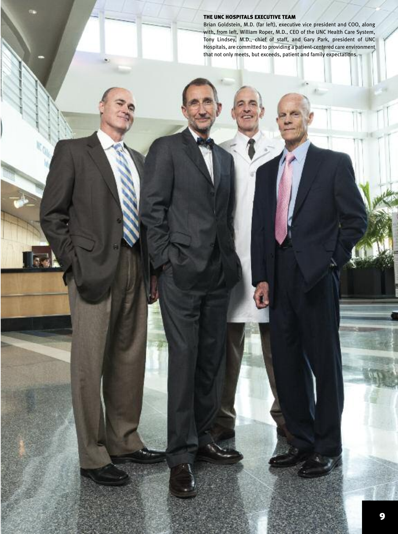#### **tHe UnC Hospitals exeCUtive teaM**

Brian Goldstein, M.D. (far left), executive vice president and COO, along with, from left, William Roper, M.D., CEO of the UNC Health Care System, Tony Lindsey, M.D., chief of staff, and Gary Park, president of UNC Hospitals, are committed to providing a patient-centered care environment that not only meets, but exceeds, patient and family expectations.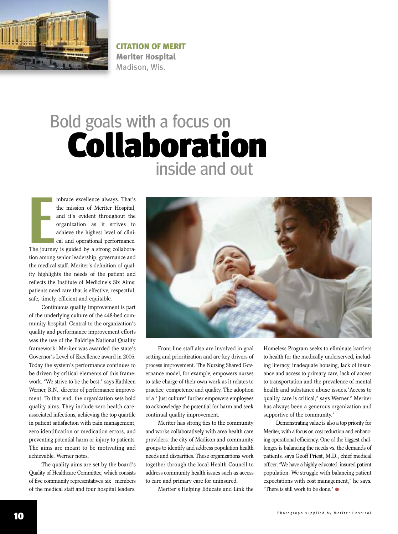

**Citation of Merit Meriter Hospital** Madison, Wis.

# **Collaboration** Bold goals with a focus on inside and out

the mission of Meriter Hospital,<br>and it's evident throughout the<br>organization as it strives to<br>achieve the highest level of clini-<br>cal and operational performance.<br>The iournev is guided by a strong collaborambrace excellence always. That's the mission of Meriter Hospital, and it's evident throughout the organization as it strives to achieve the highest level of clinical and operational performance. tion among senior leadership, governance and the medical staff. Meriter's definition of quality highlights the needs of the patient and reflects the Institute of Medicine's Six Aims: patients need care that is effective, respectful, safe, timely, efficient and equitable.

Continuous quality improvement is part of the underlying culture of the 448-bed community hospital. Central to the organization's quality and performance improvement efforts was the use of the Baldrige National Quality framework; Meriter was awarded the state's Governor's Level of Excellence award in 2006. Today the system's performance continues to be driven by critical elements of this framework. "We strive to be the best," says Kathleen Werner, R.N., director of performance improvement. To that end, the organization sets bold quality aims. They include zero health careassociated infections, achieving the top quartile in patient satisfaction with pain management, zero identification or medication errors, and preventing potential harm or injury to patients. The aims are meant to be motivating and achievable, Werner notes.

The quality aims are set by the board's Quality of Healthcare Committee, which consists of five community representatives, six members of the medical staff and four hospital leaders.



Front-line staff also are involved in goal setting and prioritization and are key drivers of process improvement. The Nursing Shared Governance model, for example, empowers nurses to take charge of their own work as it relates to practice, competence and quality. The adoption of a " just culture" further empowers employees to acknowledge the potential for harm and seek continual quality improvement.

Meriter has strong ties to the community and works collaboratively with area health care providers, the city of Madison and community groups to identify and address population health needs and disparities. These organizations work together through the local Health Council to address community health issues such as access to care and primary care for uninsured.

Meriter's Helping Educate and Link the

Homeless Program seeks to eliminate barriers to health for the medically underserved, including literacy, inadequate housing, lack of insurance and access to primary care, lack of access to transportation and the prevalence of mental health and substance abuse issues."Access to quality care is critical," says Werner." Meriter has always been a generous organization and supportive of the community."

Demonstrating value is also a top priority for Meriter, with a focus on cost reduction and enhancing operational efficiency. One of the biggest challenges is balancing the needs vs. the demands of patients, says Geoff Priest, M.D., chief medical officer. "We have a highly educated, insured patient population. We struggle with balancing patient expectations with cost management," he says. "There is still work to be done."**•**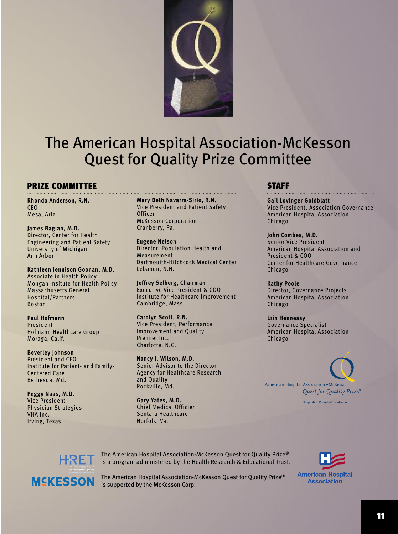

# The American Hospital Association-McKesson Quest for Quality Prize Committee

#### **PRIZE COMMITTEE**

**Rhonda Anderson, R.N.** CEO Mesa, Ariz.

**James Bagian, M.D.** Director, Center for Health Engineering and Patient Safety University of Michigan Ann Arbor

**Kathleen Jennison Goonan, M.D.** Associate in Health Policy Mongan Insitute for Health Policy Massachusetts General Hospital/Partners Boston

**Paul Hofmann** President Hofmann Healthcare Group Moraga, Calif.

**Beverley Johnson** President and CEO Institute for Patient- and Family-Centered Care Bethesda, Md.

**Peggy Naas, M.D.** Vice President Physician Strategies VHA Inc. Irving, Texas

**Mary Beth Navarra-Sirio, R.N.** Vice President and Patient Safety **Officer** McKesson Corporation Cranberry, Pa.

**Eugene Nelson** Director, Population Health and Measurement Dartmouith-Hitchcock Medical Center Lebanon, N.H.

**Jeffrey Selberg, Chairman** Executive Vice President & COO Institute for Healthcare Improvement Cambridge, Mass.

**Carolyn Scott, R.N.** Vice President, Performance Improvement and Quality Premier Inc. Charlotte, N.C.

**Nancy J. Wilson, M.D.** Senior Advisor to the Director Agency for Healthcare Research and Quality Rockville, Md.

**Gary Yates, M.D.** Chief Medical Officier Sentara Healthcare Norfolk, Va.

#### **STAFF**

**Gail Lovinger Goldblatt** Vice President, Association Governance American Hospital Association Chicago

**John Combes, M.D.** Senior Vice President American Hospital Association and President & COO Center for Healthcare Governance Chicago

**Kathy Poole** Director, Governance Projects American Hospital Association Chicago

**Erin Hennessy** Governance Specialist American Hospital Association Chicago

American Hospital Association-McKessor Quest for Quality Prize®

Hospitals in Pursuit of Excellence



The American Hospital Association-McKesson Quest for Quality Prize® is a program administered by the Health Research & Educational Trust.

The American Hospital Association-McKesson Quest for Quality Prize® is supported by the McKesson Corp.